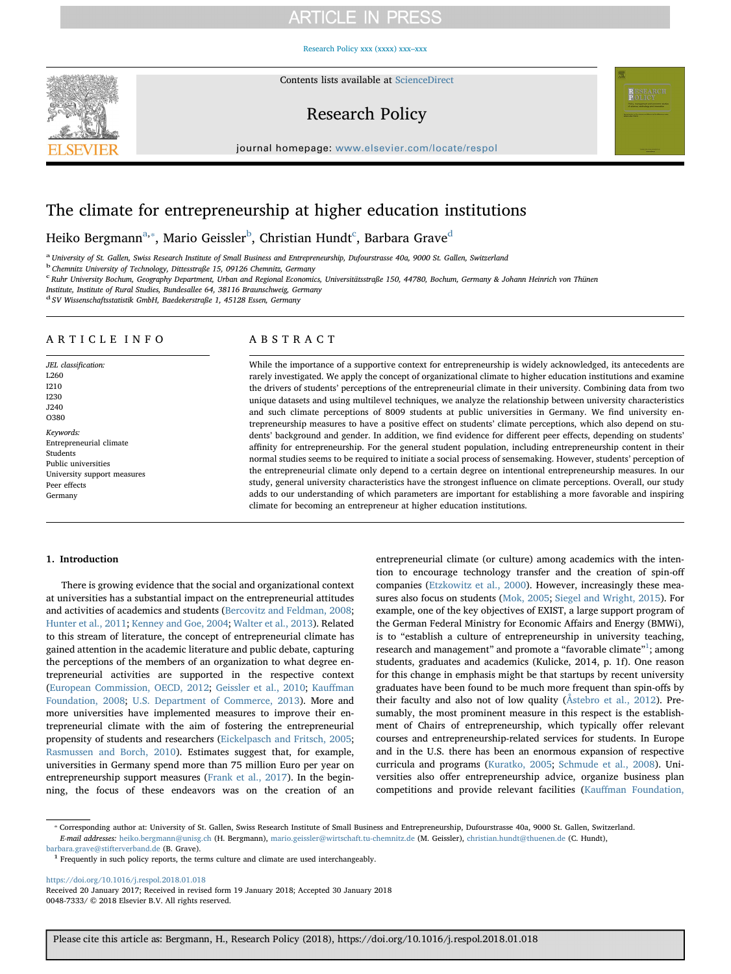## **ARTICLE IN PRESS**

#### [Research Policy xxx \(xxxx\) xxx–xxx](https://doi.org/10.1016/j.respol.2018.01.018)



Contents lists available at [ScienceDirect](http://www.sciencedirect.com/science/journal/00487333)

## Research Policy



journal homepage: [www.elsevier.com/locate/respol](https://www.elsevier.com/locate/respol)

## The climate for entrepreneurship at higher education institutions

Heiko Bergm[a](#page-0-0)nn $^{\mathrm{a},*}$ , Mario Geissler $^{\mathrm{b}}$  $^{\mathrm{b}}$  $^{\mathrm{b}}$ , Christian Hun[d](#page-0-4)t $^{\mathrm{c}}$  $^{\mathrm{c}}$  $^{\mathrm{c}}$ , Barbara Grave $^{\mathrm{d}}$ 

<span id="page-0-0"></span><sup>a</sup> University of St. Gallen, Swiss Research Institute of Small Business and Entrepreneurship, Dufourstrasse 40a, 9000 St. Gallen, Switzerland

<span id="page-0-2"></span><sup>b</sup> Chemnitz University of Technology, Dittesstraße 15, 09126 Chemnitz, Germany

<span id="page-0-3"></span><sup>c</sup> Ruhr University Bochum, Geography Department, Urban and Regional Economics, Universitätsstraße 150, 44780, Bochum, Germany & Johann Heinrich von Thünen

Institute, Institute of Rural Studies, Bundesallee 64, 38116 Braunschweig, Germany

<span id="page-0-4"></span><sup>d</sup> SV Wissenschaftsstatistik GmbH, Baedekerstraße 1, 45128 Essen, Germany

#### ARTICLE INFO

JEL classification: L260 I210 I230 J240 O380 Keywords: Entrepreneurial climate Students Public universities University support measures Peer effects Germany

#### ABSTRACT

While the importance of a supportive context for entrepreneurship is widely acknowledged, its antecedents are rarely investigated. We apply the concept of organizational climate to higher education institutions and examine the drivers of students' perceptions of the entrepreneurial climate in their university. Combining data from two unique datasets and using multilevel techniques, we analyze the relationship between university characteristics and such climate perceptions of 8009 students at public universities in Germany. We find university entrepreneurship measures to have a positive effect on students' climate perceptions, which also depend on students' background and gender. In addition, we find evidence for different peer effects, depending on students' affinity for entrepreneurship. For the general student population, including entrepreneurship content in their normal studies seems to be required to initiate a social process of sensemaking. However, students' perception of the entrepreneurial climate only depend to a certain degree on intentional entrepreneurship measures. In our study, general university characteristics have the strongest influence on climate perceptions. Overall, our study adds to our understanding of which parameters are important for establishing a more favorable and inspiring climate for becoming an entrepreneur at higher education institutions.

#### 1. Introduction

There is growing evidence that the social and organizational context at universities has a substantial impact on the entrepreneurial attitudes and activities of academics and students ([Bercovitz and Feldman, 2008](#page--1-0); [Hunter et al., 2011](#page--1-1); [Kenney and Goe, 2004](#page--1-2); [Walter et al., 2013\)](#page--1-3). Related to this stream of literature, the concept of entrepreneurial climate has gained attention in the academic literature and public debate, capturing the perceptions of the members of an organization to what degree entrepreneurial activities are supported in the respective context ([European Commission, OECD, 2012](#page--1-4); [Geissler et al., 2010;](#page--1-5) Kauff[man](#page--1-6) [Foundation, 2008;](#page--1-6) [U.S. Department of Commerce, 2013](#page--1-7)). More and more universities have implemented measures to improve their entrepreneurial climate with the aim of fostering the entrepreneurial propensity of students and researchers [\(Eickelpasch and Fritsch, 2005](#page--1-8); [Rasmussen and Borch, 2010](#page--1-9)). Estimates suggest that, for example, universities in Germany spend more than 75 million Euro per year on entrepreneurship support measures [\(Frank et al., 2017](#page--1-10)). In the beginning, the focus of these endeavors was on the creation of an

entrepreneurial climate (or culture) among academics with the intention to encourage technology transfer and the creation of spin-off companies ([Etzkowitz et al., 2000\)](#page--1-11). However, increasingly these measures also focus on students ([Mok, 2005;](#page--1-12) [Siegel and Wright, 2015](#page--1-13)). For example, one of the key objectives of EXIST, a large support program of the German Federal Ministry for Economic Affairs and Energy (BMWi), is to "establish a culture of entrepreneurship in university teaching, research and management" and promote a "favorable climate"<sup>[1](#page-0-5)</sup>; among students, graduates and academics (Kulicke, 2014, p. 1f). One reason for this change in emphasis might be that startups by recent university graduates have been found to be much more frequent than spin-offs by their faculty and also not of low quality ([Åstebro et al., 2012\)](#page--1-14). Presumably, the most prominent measure in this respect is the establishment of Chairs of entrepreneurship, which typically offer relevant courses and entrepreneurship-related services for students. In Europe and in the U.S. there has been an enormous expansion of respective curricula and programs [\(Kuratko, 2005;](#page--1-15) [Schmude et al., 2008\)](#page--1-16). Universities also offer entrepreneurship advice, organize business plan competitions and provide relevant facilities (Kauff[man Foundation,](#page--1-6)

<span id="page-0-1"></span>⁎ Corresponding author at: University of St. Gallen, Swiss Research Institute of Small Business and Entrepreneurship, Dufourstrasse 40a, 9000 St. Gallen, Switzerland. E-mail addresses: [heiko.bergmann@unisg.ch](mailto:heiko.bergmann@unisg.ch) (H. Bergmann), [mario.geissler@wirtschaft.tu-chemnitz.de](mailto:mario.geissler@wirtschaft.tu-chemnitz.de) (M. Geissler), [christian.hundt@thuenen.de](mailto:christian.hundt@thuenen.de) (C. Hundt),

<span id="page-0-5"></span>[barbara.grave@stifterverband.de](mailto:barbara.grave@stifterverband.de) (B. Grave).  $1$  Frequently in such policy reports, the terms culture and climate are used interchangeably.

<https://doi.org/10.1016/j.respol.2018.01.018> Received 20 January 2017; Received in revised form 19 January 2018; Accepted 30 January 2018 0048-7333/ © 2018 Elsevier B.V. All rights reserved.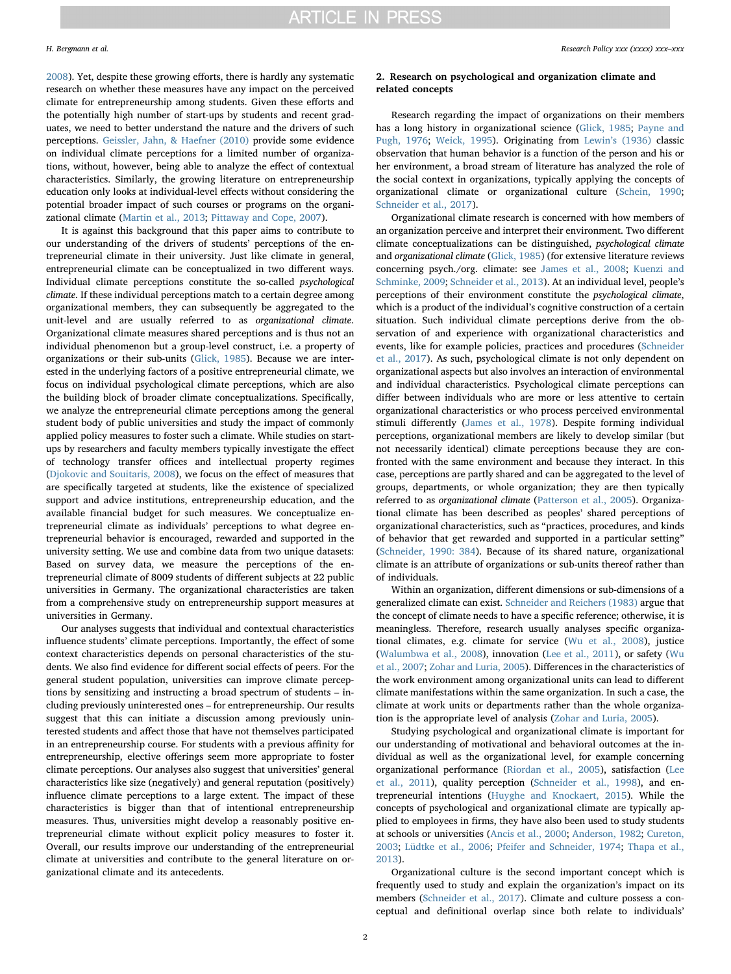[2008\)](#page--1-6). Yet, despite these growing efforts, there is hardly any systematic research on whether these measures have any impact on the perceived climate for entrepreneurship among students. Given these efforts and the potentially high number of start-ups by students and recent graduates, we need to better understand the nature and the drivers of such perceptions. [Geissler, Jahn, & Haefner \(2010\)](#page--1-5) provide some evidence on individual climate perceptions for a limited number of organizations, without, however, being able to analyze the effect of contextual characteristics. Similarly, the growing literature on entrepreneurship education only looks at individual-level effects without considering the potential broader impact of such courses or programs on the organizational climate ([Martin et al., 2013](#page--1-17); [Pittaway and Cope, 2007](#page--1-18)).

It is against this background that this paper aims to contribute to our understanding of the drivers of students' perceptions of the entrepreneurial climate in their university. Just like climate in general, entrepreneurial climate can be conceptualized in two different ways. Individual climate perceptions constitute the so-called psychological climate. If these individual perceptions match to a certain degree among organizational members, they can subsequently be aggregated to the unit-level and are usually referred to as organizational climate. Organizational climate measures shared perceptions and is thus not an individual phenomenon but a group-level construct, i.e. a property of organizations or their sub-units ([Glick, 1985\)](#page--1-19). Because we are interested in the underlying factors of a positive entrepreneurial climate, we focus on individual psychological climate perceptions, which are also the building block of broader climate conceptualizations. Specifically, we analyze the entrepreneurial climate perceptions among the general student body of public universities and study the impact of commonly applied policy measures to foster such a climate. While studies on startups by researchers and faculty members typically investigate the effect of technology transfer offices and intellectual property regimes ([Djokovic and Souitaris, 2008\)](#page--1-20), we focus on the effect of measures that are specifically targeted at students, like the existence of specialized support and advice institutions, entrepreneurship education, and the available financial budget for such measures. We conceptualize entrepreneurial climate as individuals' perceptions to what degree entrepreneurial behavior is encouraged, rewarded and supported in the university setting. We use and combine data from two unique datasets: Based on survey data, we measure the perceptions of the entrepreneurial climate of 8009 students of different subjects at 22 public universities in Germany. The organizational characteristics are taken from a comprehensive study on entrepreneurship support measures at universities in Germany.

Our analyses suggests that individual and contextual characteristics influence students' climate perceptions. Importantly, the effect of some context characteristics depends on personal characteristics of the students. We also find evidence for different social effects of peers. For the general student population, universities can improve climate perceptions by sensitizing and instructing a broad spectrum of students – including previously uninterested ones – for entrepreneurship. Our results suggest that this can initiate a discussion among previously uninterested students and affect those that have not themselves participated in an entrepreneurship course. For students with a previous affinity for entrepreneurship, elective offerings seem more appropriate to foster climate perceptions. Our analyses also suggest that universities' general characteristics like size (negatively) and general reputation (positively) influence climate perceptions to a large extent. The impact of these characteristics is bigger than that of intentional entrepreneurship measures. Thus, universities might develop a reasonably positive entrepreneurial climate without explicit policy measures to foster it. Overall, our results improve our understanding of the entrepreneurial climate at universities and contribute to the general literature on organizational climate and its antecedents.

#### 2. Research on psychological and organization climate and related concepts

Research regarding the impact of organizations on their members has a long history in organizational science [\(Glick, 1985](#page--1-19); [Payne and](#page--1-21) [Pugh, 1976;](#page--1-21) [Weick, 1995](#page--1-22)). Originating from Lewin'[s \(1936\)](#page--1-23) classic observation that human behavior is a function of the person and his or her environment, a broad stream of literature has analyzed the role of the social context in organizations, typically applying the concepts of organizational climate or organizational culture ([Schein, 1990](#page--1-24); [Schneider et al., 2017\)](#page--1-20).

Organizational climate research is concerned with how members of an organization perceive and interpret their environment. Two different climate conceptualizations can be distinguished, psychological climate and organizational climate [\(Glick, 1985\)](#page--1-19) (for extensive literature reviews concerning psych./org. climate: see [James et al., 2008](#page--1-25); [Kuenzi and](#page--1-26) [Schminke, 2009;](#page--1-26) [Schneider et al., 2013\)](#page--1-27). At an individual level, people's perceptions of their environment constitute the psychological climate, which is a product of the individual's cognitive construction of a certain situation. Such individual climate perceptions derive from the observation of and experience with organizational characteristics and events, like for example policies, practices and procedures ([Schneider](#page--1-20) [et al., 2017\)](#page--1-20). As such, psychological climate is not only dependent on organizational aspects but also involves an interaction of environmental and individual characteristics. Psychological climate perceptions can differ between individuals who are more or less attentive to certain organizational characteristics or who process perceived environmental stimuli differently [\(James et al., 1978\)](#page--1-28). Despite forming individual perceptions, organizational members are likely to develop similar (but not necessarily identical) climate perceptions because they are confronted with the same environment and because they interact. In this case, perceptions are partly shared and can be aggregated to the level of groups, departments, or whole organization; they are then typically referred to as organizational climate ([Patterson et al., 2005](#page--1-29)). Organizational climate has been described as peoples' shared perceptions of organizational characteristics, such as "practices, procedures, and kinds of behavior that get rewarded and supported in a particular setting" ([Schneider, 1990: 384\)](#page--1-8). Because of its shared nature, organizational climate is an attribute of organizations or sub-units thereof rather than of individuals.

Within an organization, different dimensions or sub-dimensions of a generalized climate can exist. [Schneider and Reichers \(1983\)](#page--1-30) argue that the concept of climate needs to have a specific reference; otherwise, it is meaningless. Therefore, research usually analyses specific organizational climates, e.g. climate for service [\(Wu et al., 2008\)](#page--1-31), justice ([Walumbwa et al., 2008](#page--1-32)), innovation [\(Lee et al., 2011\)](#page--1-33), or safety ([Wu](#page--1-34) [et al., 2007;](#page--1-34) [Zohar and Luria, 2005\)](#page--1-35). Differences in the characteristics of the work environment among organizational units can lead to different climate manifestations within the same organization. In such a case, the climate at work units or departments rather than the whole organization is the appropriate level of analysis ([Zohar and Luria, 2005\)](#page--1-35).

Studying psychological and organizational climate is important for our understanding of motivational and behavioral outcomes at the individual as well as the organizational level, for example concerning organizational performance [\(Riordan et al., 2005](#page--1-36)), satisfaction ([Lee](#page--1-33) [et al., 2011](#page--1-33)), quality perception [\(Schneider et al., 1998](#page--1-37)), and entrepreneurial intentions [\(Huyghe and Knockaert, 2015](#page--1-38)). While the concepts of psychological and organizational climate are typically applied to employees in firms, they have also been used to study students at schools or universities ([Ancis et al., 2000;](#page--1-39) [Anderson, 1982;](#page--1-40) [Cureton,](#page--1-41) [2003;](#page--1-41) [Lüdtke et al., 2006;](#page--1-42) [Pfeifer and Schneider, 1974](#page--1-43); [Thapa et al.,](#page--1-44) [2013\)](#page--1-44).

Organizational culture is the second important concept which is frequently used to study and explain the organization's impact on its members ([Schneider et al., 2017](#page--1-20)). Climate and culture possess a conceptual and definitional overlap since both relate to individuals'